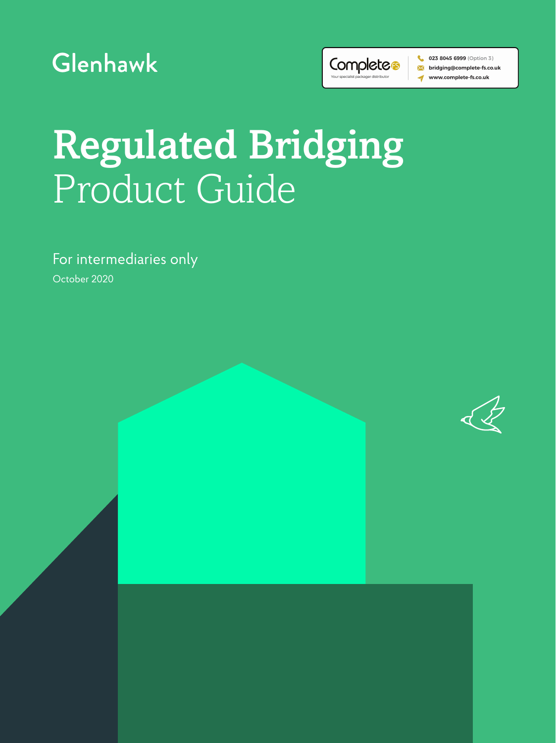



 $\bullet$  023 8045 6999 (Option 3) ><</bridging@complete-fs.co.uk www.complete-fs.co.uk

Regulated Bridging Product Guide

For intermediaries only

October 2020

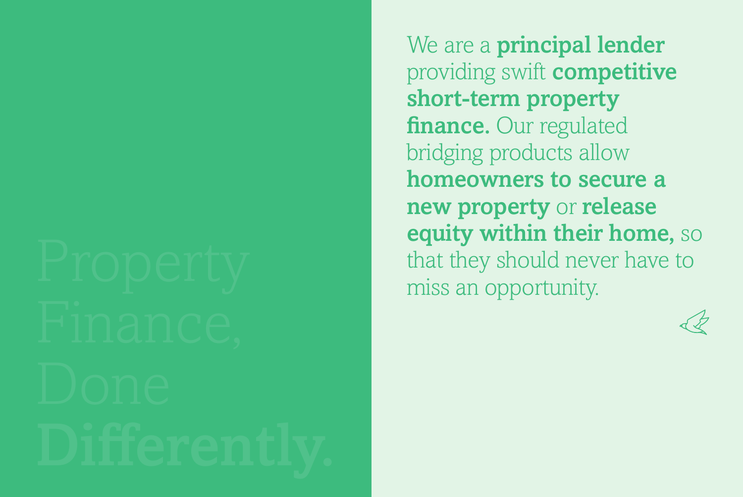We are a **principal lender** providing swift competitive short-term property finance. Our regulated bridging products allow homeowners to secure a new property or release equity within their home, so that they should never have to miss an opportunity.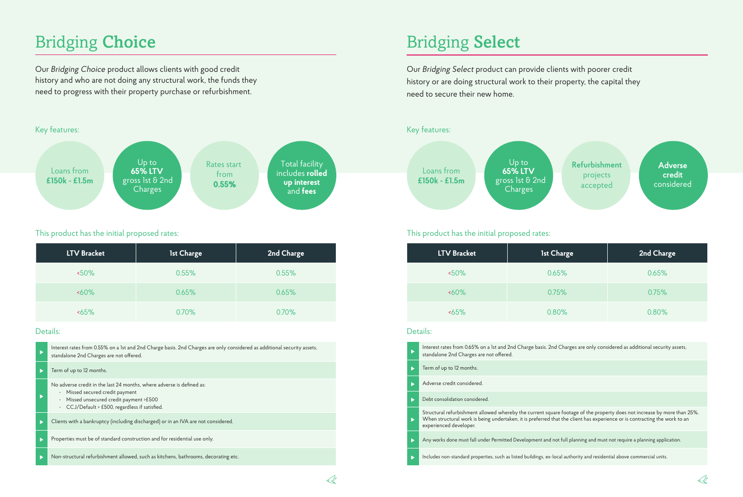# Bridging Choice

Our *Bridging Choice* product allows clients with good credit history and who are not doing any structural work, the funds they need to progress with their property purchase or refurbishment.



### This product has the initial proposed rates: This product has the initial proposed rates:

| <b>LTV Bracket</b> | 1st Charge | 2nd Charge |
|--------------------|------------|------------|
| $50\%$             | 0.55%      | 0.55%      |
| $~50\%$            | 0.65%      | 0.65%      |
| 55%                | 0.70%      | 0.70%      |

#### Details:

|   | Interest rates from 0.55% on a 1st and 2nd Charge basis. 2nd Charges are only considered as additional security assets,<br>standalone 2nd Charges are not offered.                                        |
|---|-----------------------------------------------------------------------------------------------------------------------------------------------------------------------------------------------------------|
|   | Term of up to 12 months.                                                                                                                                                                                  |
|   | No adverse credit in the last 24 months, where adverse is defined as:<br>· Missed secured credit payment<br>Missed unsecured credit payment >£500<br>$\cdot$ CCJ/Default > £500, regardless if satisfied. |
|   | Clients with a bankruptcy (including discharged) or in an IVA are not considered.                                                                                                                         |
| Þ | Properties must be of standard construction and for residential use only.                                                                                                                                 |
|   | Non-structural refurbishment allowed, such as kitchens, bathrooms, decorating etc.                                                                                                                        |

## Bridging Select

Our *Bridging Select* product can provide clients with poorer credit history or are doing structural work to their property, the capital they need to secure their new home.

### Key features:



| LTV Bracket | 1st Charge | 2nd Charge |
|-------------|------------|------------|
| $50\%$      | 0.65%      | 0.65%      |
| $~50\%$     | 0.75%      | 0.75%      |
| 55%         | 0.80%      | 0.80%      |

#### Details:

| $\blacktriangleright$ | Interest rates from 0.65% on a 1st and 2nd Charge basis. 2nd Charges are only considered as additional security assets,<br>standalone 2nd Charges are not offered.                                                                                                             |
|-----------------------|--------------------------------------------------------------------------------------------------------------------------------------------------------------------------------------------------------------------------------------------------------------------------------|
| ь                     | Term of up to 12 months.                                                                                                                                                                                                                                                       |
|                       | Adverse credit considered.                                                                                                                                                                                                                                                     |
| ь                     | Debt consolidation considered.                                                                                                                                                                                                                                                 |
| $\blacktriangleright$ | Structural refurbishment allowed whereby the current square footage of the property does not increase by more than 25%.<br>When structural work is being undertaken, it is preferred that the client has experience or is contracting the work to an<br>experienced developer. |
| ь                     | Any works done must fall under Permitted Development and not full planning and must not require a planning application.                                                                                                                                                        |
| ь                     | Includes non-standard properties, such as listed buildings, ex-local authority and residential above commercial units.                                                                                                                                                         |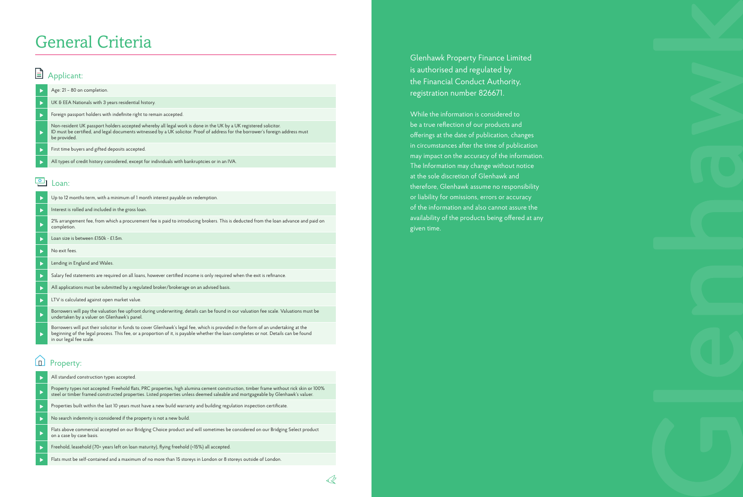### General Criteria

### Applicant:

#### Age: 21 – 80 on completion.

- UK & EEA Nationals with 3 years residential history.
- Foreign passport holders with indefinite right to remain accepted.  $\overline{ }$
- Non-resident UK passport holders accepted whereby all legal work is done in the UK by a UK registered solicitor. ID must be certified, and legal documents witnessed by a UK solicitor. Proof of address for the borrower's foreign address must be provided.
- First time buyers and gifted deposits accepted.  $\blacktriangleright$
- All types of credit history considered, except for individuals with bankruptcies or in an IVA.

#### $\boxed{\circ}$ Loan:

- Up to 12 months term, with a minimum of 1 month interest payable on redemption.  $\mathbf{b}$
- $\ddot{\phantom{1}}$ Interest is rolled and included in the gross loan.
- 2% arrangement fee, from which a procurement fee is paid to introducing brokers. This is deducted from the loan advance and paid on completion.
- Loan size is between £150k £1.5m.  $\ddot{\phantom{1}}$
- $\ddot{\phantom{1}}$ No exit fees.
- Lending in England and Wales. Þ
- Salary fed statements are required on all loans, however certified income is only required when the exit is refinance.  $\mathbf{B}$
- All applications must be submitted by a regulated broker/brokerage on an advised basis.  $\blacktriangleright$
- b LTV is calculated against open market value.
- Borrowers will pay the valuation fee upfront during underwriting, details can be found in our valuation fee scale. Valuations must be undertaken by a valuer on Glenhawk's panel.
- Borrowers will put their solicitor in funds to cover Glenhawk's legal fee, which is provided in the form of an undertaking at the beginning of the legal process. This fee, or a proportion of it, is payable whether the loan completes or not. Details can be found in our legal fee scale.

#### 血 Property:

- All standard construction types accepted.  $\mathbf{r}$ Property types not accepted: Freehold flats, PRC properties, high alumina cement construction, timber frame without rick skin or 100% steel or timber framed constructed properties. Listed properties unless deemed saleable and mortgageable by Glenhawk's valuer.  $\mathbf{r}$ Properties built within the last 10 years must have a new build warranty and building regulation inspection certificate. No search indemnity is considered if the property is not a new build.  $\mathbf{b}$ Flats above commercial accepted on our Bridging Choice product and will sometimes be considered on our Bridging Select product on a case by case basis. Freehold, leasehold (70+ years left on loan maturity), flying freehold (<15%) all accepted.
- Flats must be self-contained and a maximum of no more than 15 storeys in London or 8 storeys outside of London.

Glenhawk Property Finance Limited is authorised and regulated by the Financial Conduct Authority, registration number 826671.

While the information is considered to be a true reflection of our products and offerings at the date of publication, changes in circumstances after the time of publication may impact on the accuracy of the information. The Information may change without notice at the sole discretion of Glenhawk and therefore, Glenhawk assume no responsibility or liability for omissions, errors or accuracy of the information and also cannot assure the availability of the products being offered at any given time.